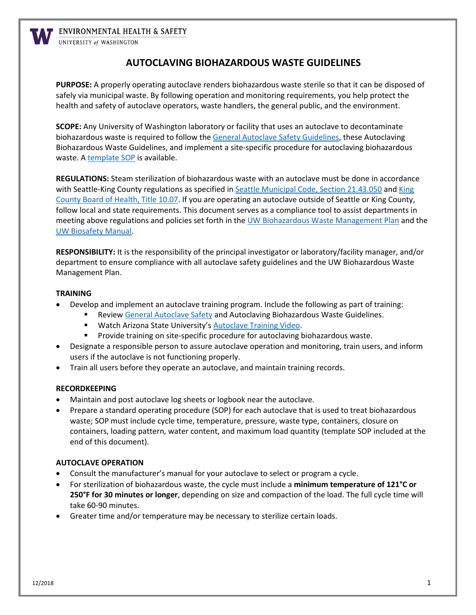

**V** ENVIRONMENTAL HEALTH & SAFETY

UNIVERSITY of WASHINGTON

## **AUTOCLAVING BIOHAZARDOUS WASTE GUIDELINES**

**PURPOSE:** A properly operating autoclave renders biohazardous waste sterile so that it can be disposed of safely via municipal waste. By following operation and monitoring requirements, you help protect the health and safety of autoclave operators, waste handlers, the general public, and the environment.

**SCOPE:** Any University of Washington laboratory or facility that uses an autoclave to decontaminate biohazardous waste is required to follow the [General Autoclave Safety Guidelines,](https://www.ehs.washington.edu/resource/general-autoclave-safety-97) these Autoclaving Biohazardous Waste Guidelines, and implement a site-specific procedure for autoclaving biohazardous waste. [A template SOP](https://www.ehs.washington.edu/system/files/resources/autoclave-SOP.pdf) is available.

**REGULATIONS:** Steam sterilization of biohazardous waste with an autoclave must be done in accordance with Seattle-King County regulations as specified in [Seattle Municipal Code, Section 21.43.050](https://www.municode.com/library/wa/seattle/codes/municipal_code?nodeId=TIT21UT_SUBTITLE_IIISOWA_CH21.43INWAMA_21.43.050INWATR) and [King](http://www.kingcounty.gov/depts/health/board-of-health/~/media/depts/health/board-of-health/documents/code/BOH-Code-Title-10.ashx)  [County Board of Health, Title 10.07.](http://www.kingcounty.gov/depts/health/board-of-health/~/media/depts/health/board-of-health/documents/code/BOH-Code-Title-10.ashx) If you are operating an autoclave outside of Seattle or King County, follow local and state requirements. This document serves as a compliance tool to assist departments in meeting above regulations and policies set forth in the [UW Biohazardous Waste Management Plan](https://www.ehs.washington.edu/resource/biohazardous-waste-management-plan-91) and the [UW Biosafety Manual.](https://www.ehs.washington.edu/resource/biosafety-manual-4)

**RESPONSIBILITY:** It is the responsibility of the principal investigator or laboratory/facility manager, and/or department to ensure compliance with all autoclave safety guidelines and the UW Biohazardous Waste Management Plan.

#### **TRAINING**

- Develop and implement an autoclave training program. Include the following as part of training:
	- **EXECTE ACTE AUTOMATE ACTE ACTES AND FIGURE ACTES ARE ACTES AT ACTES FIGURER** FIGURENCES.
	- **Watch Arizona State University's [Autoclave Training Video.](https://www.youtube.com/watch?v=rM_JTgLSKXk)**
	- **Provide training on site-specific procedure for autoclaving biohazardous waste.**
- Designate a responsible person to assure autoclave operation and monitoring, train users, and inform users if the autoclave is not functioning properly.
- Train all users before they operate an autoclave, and maintain training records.

#### **RECORDKEEPING**

- Maintain and post autoclave log sheets or logbook near the autoclave.
- Prepare a standard operating procedure (SOP) for each autoclave that is used to treat biohazardous waste; SOP must include cycle time, temperature, pressure, waste type, containers, closure on containers, loading pattern, water content, and maximum load quantity (template SOP included at the end of this document).

#### **AUTOCLAVE OPERATION**

- Consult the manufacturer's manual for your autoclave to select or program a cycle.
- For sterilization of biohazardous waste, the cycle must include a **minimum temperature of 121°C or 250°F for 30 minutes or longer**, depending on size and compaction of the load. The full cycle time will take 60-90 minutes.
- Greater time and/or temperature may be necessary to sterilize certain loads.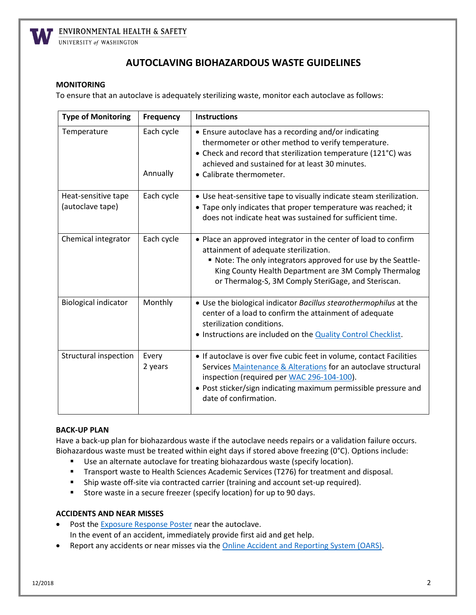

ENVIRONMENTAL HEALTH & SAFETY

UNIVERSITY of WASHINGTON

# **AUTOCLAVING BIOHAZARDOUS WASTE GUIDELINES**

#### **MONITORING**

To ensure that an autoclave is adequately sterilizing waste, monitor each autoclave as follows:

| <b>Type of Monitoring</b>               | <b>Frequency</b>       | <b>Instructions</b>                                                                                                                                                                                                                                                                       |
|-----------------------------------------|------------------------|-------------------------------------------------------------------------------------------------------------------------------------------------------------------------------------------------------------------------------------------------------------------------------------------|
| Temperature                             | Each cycle<br>Annually | • Ensure autoclave has a recording and/or indicating<br>thermometer or other method to verify temperature.<br>• Check and record that sterilization temperature (121°C) was<br>achieved and sustained for at least 30 minutes.<br>• Calibrate thermometer.                                |
| Heat-sensitive tape<br>(autoclave tape) | Each cycle             | • Use heat-sensitive tape to visually indicate steam sterilization.<br>• Tape only indicates that proper temperature was reached; it<br>does not indicate heat was sustained for sufficient time.                                                                                         |
| Chemical integrator                     | Each cycle             | • Place an approved integrator in the center of load to confirm<br>attainment of adequate sterilization.<br>. Note: The only integrators approved for use by the Seattle-<br>King County Health Department are 3M Comply Thermalog<br>or Thermalog-S, 3M Comply SteriGage, and Steriscan. |
| <b>Biological indicator</b>             | Monthly                | • Use the biological indicator Bacillus stearothermophilus at the<br>center of a load to confirm the attainment of adequate<br>sterilization conditions.<br>. Instructions are included on the <b>Quality Control Checklist</b> .                                                         |
| Structural inspection                   | Every<br>2 years       | • If autoclave is over five cubic feet in volume, contact Facilities<br>Services Maintenance & Alterations for an autoclave structural<br>inspection (required per WAC 296-104-100).<br>• Post sticker/sign indicating maximum permissible pressure and<br>date of confirmation.          |

#### **BACK-UP PLAN**

Have a back-up plan for biohazardous waste if the autoclave needs repairs or a validation failure occurs. Biohazardous waste must be treated within eight days if stored above freezing (0°C). Options include:

- **Use an alternate autoclave for treating biohazardous waste (specify location).**
- **Transport waste to Health Sciences Academic Services (T276) for treatment and disposal.**
- Ship waste off-site via contracted carrier (training and account set-up required).
- **Store waste in a secure freezer (specify location) for up to 90 days.**

### **ACCIDENTS AND NEAR MISSES**

- Post the [Exposure Response Poster](http://www.ehs.washington.edu/resource/exposure-response-poster-94) near the autoclave. In the event of an accident, immediately provide first aid and get help.
- Report any accidents or near misses via the [Online Accident and Reporting System \(OARS\).](https://oars.ehs.washington.edu/)